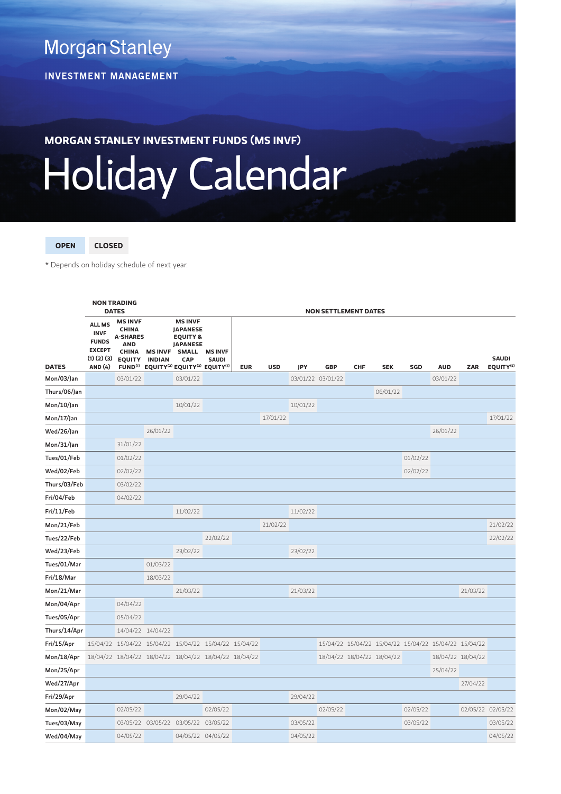**Morgan Stanley** 

**INVESTMENT MANAGEMENT** 

**MORGAN STANLEY INVESTMENT FUNDS (MS INVF)**

## Holiday Calendar

**OPEN CLOSED**

\* Depends on holiday schedule of next year.

|               | <b>NON TRADING</b><br><b>DATES</b>                                                    |                                                                                                  |                                 | <b>NON SETTLEMENT DATES</b>                                                                                                                                                                 |                                |            |            |                   |            |                            |            |          |                                                       |          |                                       |  |
|---------------|---------------------------------------------------------------------------------------|--------------------------------------------------------------------------------------------------|---------------------------------|---------------------------------------------------------------------------------------------------------------------------------------------------------------------------------------------|--------------------------------|------------|------------|-------------------|------------|----------------------------|------------|----------|-------------------------------------------------------|----------|---------------------------------------|--|
| <b>DATES</b>  | <b>ALL MS</b><br><b>INVF</b><br><b>FUNDS</b><br><b>EXCEPT</b><br>(1)(2)(3)<br>AND (4) | <b>MS INVF</b><br><b>CHINA</b><br><b>A-SHARES</b><br><b>AND</b><br><b>CHINA</b><br><b>EQUITY</b> | <b>MS INVF</b><br><b>INDIAN</b> | <b>MS INVF</b><br><b>JAPANESE</b><br><b>EQUITY &amp;</b><br><b>JAPANESE</b><br><b>SMALL</b><br>CAP<br>FUND <sup>(1)</sup> EQUITY <sup>(2)</sup> EQUITY <sup>(3)</sup> EQUITY <sup>(4)</sup> | <b>MS INVF</b><br><b>SAUDI</b> | <b>EUR</b> | <b>USD</b> | JPY               | <b>GBP</b> | CHF                        | <b>SEK</b> | SGD      | <b>AUD</b>                                            | ZAR      | <b>SAUDI</b><br>EQUITY <sup>(5)</sup> |  |
| Mon/03/Jan    |                                                                                       | 03/01/22                                                                                         |                                 | 03/01/22                                                                                                                                                                                    |                                |            |            | 03/01/22 03/01/22 |            |                            |            |          | 03/01/22                                              |          |                                       |  |
| Thurs/06/Jan  |                                                                                       |                                                                                                  |                                 |                                                                                                                                                                                             |                                |            |            |                   |            |                            | 06/01/22   |          |                                                       |          |                                       |  |
| $Mon/10/$ Jan |                                                                                       |                                                                                                  |                                 | 10/01/22                                                                                                                                                                                    |                                |            |            | 10/01/22          |            |                            |            |          |                                                       |          |                                       |  |
| Mon/17/Jan    |                                                                                       |                                                                                                  |                                 |                                                                                                                                                                                             |                                |            | 17/01/22   |                   |            |                            |            |          |                                                       |          | 17/01/22                              |  |
| Wed/26/Jan    |                                                                                       |                                                                                                  | 26/01/22                        |                                                                                                                                                                                             |                                |            |            |                   |            |                            |            |          | 26/01/22                                              |          |                                       |  |
| Mon/31/Jan    |                                                                                       | 31/01/22                                                                                         |                                 |                                                                                                                                                                                             |                                |            |            |                   |            |                            |            |          |                                                       |          |                                       |  |
| Tues/01/Feb   |                                                                                       | 01/02/22                                                                                         |                                 |                                                                                                                                                                                             |                                |            |            |                   |            |                            |            | 01/02/22 |                                                       |          |                                       |  |
| Wed/02/Feb    |                                                                                       | 02/02/22                                                                                         |                                 |                                                                                                                                                                                             |                                |            |            |                   |            |                            |            | 02/02/22 |                                                       |          |                                       |  |
| Thurs/03/Feb  |                                                                                       | 03/02/22                                                                                         |                                 |                                                                                                                                                                                             |                                |            |            |                   |            |                            |            |          |                                                       |          |                                       |  |
| Fri/04/Feb    |                                                                                       | 04/02/22                                                                                         |                                 |                                                                                                                                                                                             |                                |            |            |                   |            |                            |            |          |                                                       |          |                                       |  |
| Fri/11/Feb    |                                                                                       |                                                                                                  |                                 | 11/02/22                                                                                                                                                                                    |                                |            |            | 11/02/22          |            |                            |            |          |                                                       |          |                                       |  |
| Mon/21/Feb    |                                                                                       |                                                                                                  |                                 |                                                                                                                                                                                             |                                |            | 21/02/22   |                   |            |                            |            |          |                                                       |          | 21/02/22                              |  |
| Tues/22/Feb   |                                                                                       |                                                                                                  |                                 |                                                                                                                                                                                             | 22/02/22                       |            |            |                   |            |                            |            |          |                                                       |          | 22/02/22                              |  |
| Wed/23/Feb    |                                                                                       |                                                                                                  |                                 | 23/02/22                                                                                                                                                                                    |                                |            |            | 23/02/22          |            |                            |            |          |                                                       |          |                                       |  |
| Tues/01/Mar   |                                                                                       |                                                                                                  | 01/03/22                        |                                                                                                                                                                                             |                                |            |            |                   |            |                            |            |          |                                                       |          |                                       |  |
| Fri/18/Mar    |                                                                                       |                                                                                                  | 18/03/22                        |                                                                                                                                                                                             |                                |            |            |                   |            |                            |            |          |                                                       |          |                                       |  |
| Mon/21/Mar    |                                                                                       |                                                                                                  |                                 | 21/03/22                                                                                                                                                                                    |                                |            |            | 21/03/22          |            |                            |            |          |                                                       | 21/03/22 |                                       |  |
| Mon/04/Apr    |                                                                                       | 04/04/22                                                                                         |                                 |                                                                                                                                                                                             |                                |            |            |                   |            |                            |            |          |                                                       |          |                                       |  |
| Tues/05/Apr   |                                                                                       | 05/04/22                                                                                         |                                 |                                                                                                                                                                                             |                                |            |            |                   |            |                            |            |          |                                                       |          |                                       |  |
| Thurs/14/Apr  |                                                                                       | 14/04/22 14/04/22                                                                                |                                 |                                                                                                                                                                                             |                                |            |            |                   |            |                            |            |          |                                                       |          |                                       |  |
| Fri/15/Apr    |                                                                                       |                                                                                                  |                                 | 15/04/22 15/04/22 15/04/22 15/04/22 15/04/22 15/04/22                                                                                                                                       |                                |            |            |                   |            |                            |            |          | 15/04/22 15/04/22 15/04/22 15/04/22 15/04/22 15/04/22 |          |                                       |  |
| Mon/18/Apr    |                                                                                       |                                                                                                  |                                 | 18/04/22 18/04/22 18/04/22 18/04/22 18/04/22 18/04/22                                                                                                                                       |                                |            |            |                   |            | 18/04/22 18/04/22 18/04/22 |            |          | 18/04/22 18/04/22                                     |          |                                       |  |
| Mon/25/Apr    |                                                                                       |                                                                                                  |                                 |                                                                                                                                                                                             |                                |            |            |                   |            |                            |            |          | 25/04/22                                              |          |                                       |  |
| Wed/27/Apr    |                                                                                       |                                                                                                  |                                 |                                                                                                                                                                                             |                                |            |            |                   |            |                            |            |          |                                                       | 27/04/22 |                                       |  |
| Fri/29/Apr    |                                                                                       |                                                                                                  |                                 | 29/04/22                                                                                                                                                                                    |                                |            |            | 29/04/22          |            |                            |            |          |                                                       |          |                                       |  |
| Mon/02/May    |                                                                                       | 02/05/22                                                                                         |                                 |                                                                                                                                                                                             | 02/05/22                       |            |            |                   | 02/05/22   |                            |            | 02/05/22 |                                                       |          | 02/05/22 02/05/22                     |  |
| Tues/03/May   |                                                                                       |                                                                                                  |                                 | 03/05/22 03/05/22 03/05/22 03/05/22                                                                                                                                                         |                                |            |            | 03/05/22          |            |                            |            | 03/05/22 |                                                       |          | 03/05/22                              |  |
| Wed/04/May    |                                                                                       | 04/05/22                                                                                         |                                 | 04/05/22 04/05/22                                                                                                                                                                           |                                |            |            | 04/05/22          |            |                            |            |          |                                                       |          | 04/05/22                              |  |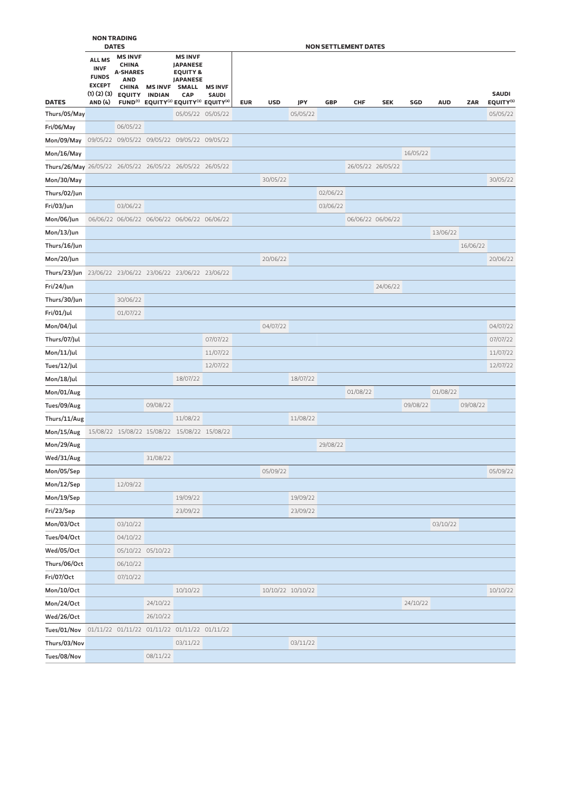|                                                           | <b>NON TRADING</b><br><b>DATES</b>                                                           |                                                                                                  |                                 |                                                                                                                                                                                                    |                                |            | <b>NON SETTLEMENT DATES</b> |          |            |                   |            |          |            |          |                                       |  |
|-----------------------------------------------------------|----------------------------------------------------------------------------------------------|--------------------------------------------------------------------------------------------------|---------------------------------|----------------------------------------------------------------------------------------------------------------------------------------------------------------------------------------------------|--------------------------------|------------|-----------------------------|----------|------------|-------------------|------------|----------|------------|----------|---------------------------------------|--|
| <b>DATES</b>                                              | <b>ALL MS</b><br><b>INVF</b><br><b>FUNDS</b><br><b>EXCEPT</b><br>(1)(2)(3)<br><b>AND (4)</b> | <b>MS INVF</b><br><b>CHINA</b><br><b>A-SHARES</b><br><b>AND</b><br><b>CHINA</b><br><b>EQUITY</b> | <b>MS INVF</b><br><b>INDIAN</b> | <b>MS INVF</b><br><b>JAPANESE</b><br><b>EQUITY &amp;</b><br><b>JAPANESE</b><br><b>SMALL</b><br><b>CAP</b><br>FUND <sup>(1)</sup> EQUITY <sup>(2)</sup> EQUITY <sup>(3)</sup> EQUITY <sup>(4)</sup> | <b>MS INVF</b><br><b>SAUDI</b> | <b>EUR</b> | <b>USD</b>                  | JPY      | <b>GBP</b> | <b>CHF</b>        | <b>SEK</b> | SGD      | <b>AUD</b> | ZAR      | <b>SAUDI</b><br>EQUITY <sup>(5)</sup> |  |
| Thurs/05/May                                              |                                                                                              |                                                                                                  |                                 | 05/05/22 05/05/22                                                                                                                                                                                  |                                |            |                             | 05/05/22 |            |                   |            |          |            |          | 05/05/22                              |  |
| Fri/06/May                                                |                                                                                              | 06/05/22                                                                                         |                                 |                                                                                                                                                                                                    |                                |            |                             |          |            |                   |            |          |            |          |                                       |  |
| Mon/09/May                                                |                                                                                              |                                                                                                  |                                 | 09/05/22 09/05/22 09/05/22 09/05/22 09/05/22                                                                                                                                                       |                                |            |                             |          |            |                   |            |          |            |          |                                       |  |
| Mon/16/May                                                |                                                                                              |                                                                                                  |                                 |                                                                                                                                                                                                    |                                |            |                             |          |            |                   |            | 16/05/22 |            |          |                                       |  |
| Thurs/26/May 26/05/22 26/05/22 26/05/22 26/05/22 26/05/22 |                                                                                              |                                                                                                  |                                 |                                                                                                                                                                                                    |                                |            |                             |          |            | 26/05/22 26/05/22 |            |          |            |          |                                       |  |
| Mon/30/May                                                |                                                                                              |                                                                                                  |                                 |                                                                                                                                                                                                    |                                |            | 30/05/22                    |          |            |                   |            |          |            |          | 30/05/22                              |  |
| Thurs/02/Jun                                              |                                                                                              |                                                                                                  |                                 |                                                                                                                                                                                                    |                                |            |                             |          | 02/06/22   |                   |            |          |            |          |                                       |  |
| Fri/03/Jun                                                |                                                                                              | 03/06/22                                                                                         |                                 |                                                                                                                                                                                                    |                                |            |                             |          | 03/06/22   |                   |            |          |            |          |                                       |  |
| Mon/06/Jun                                                |                                                                                              |                                                                                                  |                                 | 06/06/22 06/06/22 06/06/22 06/06/22 06/06/22                                                                                                                                                       |                                |            |                             |          |            | 06/06/22 06/06/22 |            |          |            |          |                                       |  |
| Mon/13/Jun                                                |                                                                                              |                                                                                                  |                                 |                                                                                                                                                                                                    |                                |            |                             |          |            |                   |            |          | 13/06/22   |          |                                       |  |
| Thurs/16/Jun                                              |                                                                                              |                                                                                                  |                                 |                                                                                                                                                                                                    |                                |            |                             |          |            |                   |            |          |            | 16/06/22 |                                       |  |
| Mon/20/Jun                                                |                                                                                              |                                                                                                  |                                 |                                                                                                                                                                                                    |                                |            | 20/06/22                    |          |            |                   |            |          |            |          | 20/06/22                              |  |
| Thurs/23/Jun 23/06/22 23/06/22 23/06/22 23/06/22 23/06/22 |                                                                                              |                                                                                                  |                                 |                                                                                                                                                                                                    |                                |            |                             |          |            |                   |            |          |            |          |                                       |  |
| Fri/24/Jun                                                |                                                                                              |                                                                                                  |                                 |                                                                                                                                                                                                    |                                |            |                             |          |            |                   | 24/06/22   |          |            |          |                                       |  |
| Thurs/30/Jun                                              |                                                                                              | 30/06/22                                                                                         |                                 |                                                                                                                                                                                                    |                                |            |                             |          |            |                   |            |          |            |          |                                       |  |
| Fri/01/Jul                                                |                                                                                              | 01/07/22                                                                                         |                                 |                                                                                                                                                                                                    |                                |            |                             |          |            |                   |            |          |            |          |                                       |  |
| Mon/04/Jul                                                |                                                                                              |                                                                                                  |                                 |                                                                                                                                                                                                    |                                |            | 04/07/22                    |          |            |                   |            |          |            |          | 04/07/22                              |  |
| Thurs/07/Jul                                              |                                                                                              |                                                                                                  |                                 |                                                                                                                                                                                                    | 07/07/22                       |            |                             |          |            |                   |            |          |            |          | 07/07/22                              |  |
| $Mon/11/$ Jul                                             |                                                                                              |                                                                                                  |                                 |                                                                                                                                                                                                    | 11/07/22                       |            |                             |          |            |                   |            |          |            |          | 11/07/22                              |  |
| Tues/12/Jul                                               |                                                                                              |                                                                                                  |                                 |                                                                                                                                                                                                    | 12/07/22                       |            |                             |          |            |                   |            |          |            |          | 12/07/22                              |  |
| Mon/18/Jul                                                |                                                                                              |                                                                                                  |                                 | 18/07/22                                                                                                                                                                                           |                                |            |                             | 18/07/22 |            | 01/08/22          |            |          | 01/08/22   |          |                                       |  |
| Mon/01/Aug<br>Tues/09/Aug                                 |                                                                                              |                                                                                                  | 09/08/22                        |                                                                                                                                                                                                    |                                |            |                             |          |            |                   |            | 09/08/22 |            | 09/08/22 |                                       |  |
| Thurs/11/Aug                                              |                                                                                              |                                                                                                  |                                 | 11/08/22                                                                                                                                                                                           |                                |            |                             | 11/08/22 |            |                   |            |          |            |          |                                       |  |
| Mon/15/Aug                                                |                                                                                              |                                                                                                  |                                 | 15/08/22 15/08/22 15/08/22 15/08/22 15/08/22                                                                                                                                                       |                                |            |                             |          |            |                   |            |          |            |          |                                       |  |
| Mon/29/Aug                                                |                                                                                              |                                                                                                  |                                 |                                                                                                                                                                                                    |                                |            |                             |          | 29/08/22   |                   |            |          |            |          |                                       |  |
| Wed/31/Aug                                                |                                                                                              |                                                                                                  | 31/08/22                        |                                                                                                                                                                                                    |                                |            |                             |          |            |                   |            |          |            |          |                                       |  |
| Mon/05/Sep                                                |                                                                                              |                                                                                                  |                                 |                                                                                                                                                                                                    |                                |            | 05/09/22                    |          |            |                   |            |          |            |          | 05/09/22                              |  |
| Mon/12/Sep                                                |                                                                                              | 12/09/22                                                                                         |                                 |                                                                                                                                                                                                    |                                |            |                             |          |            |                   |            |          |            |          |                                       |  |
| Mon/19/Sep                                                |                                                                                              |                                                                                                  |                                 | 19/09/22                                                                                                                                                                                           |                                |            |                             | 19/09/22 |            |                   |            |          |            |          |                                       |  |
| Fri/23/Sep                                                |                                                                                              |                                                                                                  |                                 | 23/09/22                                                                                                                                                                                           |                                |            |                             | 23/09/22 |            |                   |            |          |            |          |                                       |  |
| Mon/03/Oct                                                |                                                                                              | 03/10/22                                                                                         |                                 |                                                                                                                                                                                                    |                                |            |                             |          |            |                   |            |          | 03/10/22   |          |                                       |  |
| Tues/04/Oct                                               |                                                                                              | 04/10/22                                                                                         |                                 |                                                                                                                                                                                                    |                                |            |                             |          |            |                   |            |          |            |          |                                       |  |
| Wed/05/Oct                                                |                                                                                              |                                                                                                  | 05/10/22 05/10/22               |                                                                                                                                                                                                    |                                |            |                             |          |            |                   |            |          |            |          |                                       |  |
| Thurs/06/Oct                                              |                                                                                              | 06/10/22                                                                                         |                                 |                                                                                                                                                                                                    |                                |            |                             |          |            |                   |            |          |            |          |                                       |  |
| Fri/07/Oct                                                |                                                                                              | 07/10/22                                                                                         |                                 |                                                                                                                                                                                                    |                                |            |                             |          |            |                   |            |          |            |          |                                       |  |
| Mon/10/Oct                                                |                                                                                              |                                                                                                  |                                 | 10/10/22                                                                                                                                                                                           |                                |            | 10/10/22 10/10/22           |          |            |                   |            |          |            |          | 10/10/22                              |  |
| Mon/24/Oct                                                |                                                                                              |                                                                                                  | 24/10/22                        |                                                                                                                                                                                                    |                                |            |                             |          |            |                   |            | 24/10/22 |            |          |                                       |  |
| Wed/26/Oct                                                |                                                                                              |                                                                                                  | 26/10/22                        |                                                                                                                                                                                                    |                                |            |                             |          |            |                   |            |          |            |          |                                       |  |
| Tues/01/Nov                                               |                                                                                              |                                                                                                  |                                 | 01/11/22 01/11/22 01/11/22 01/11/22 01/11/22                                                                                                                                                       |                                |            |                             |          |            |                   |            |          |            |          |                                       |  |
| Thurs/03/Nov                                              |                                                                                              |                                                                                                  |                                 | 03/11/22                                                                                                                                                                                           |                                |            |                             | 03/11/22 |            |                   |            |          |            |          |                                       |  |
| Tues/08/Nov                                               |                                                                                              |                                                                                                  | 08/11/22                        |                                                                                                                                                                                                    |                                |            |                             |          |            |                   |            |          |            |          |                                       |  |